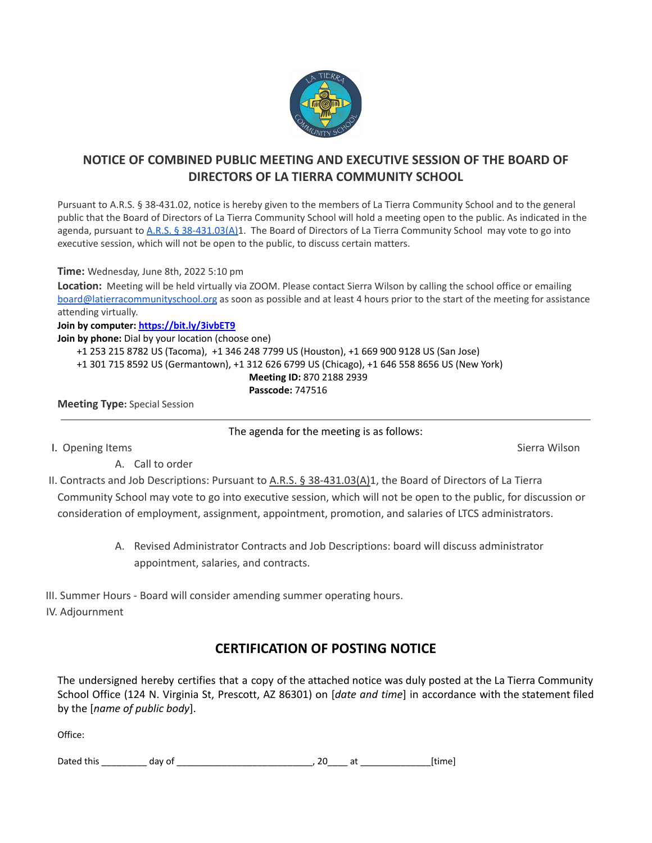

## **NOTICE OF COMBINED PUBLIC MEETING AND EXECUTIVE SESSION OF THE BOARD OF DIRECTORS OF LA TIERRA COMMUNITY SCHOOL**

Pursuant to A.R.S. § 38-431.02, notice is hereby given to the members of La Tierra Community School and to the general public that the Board of Directors of La Tierra Community School will hold a meeting open to the public. As indicated in the agenda, pursuant to A.R.S. § [38-431.03\(A\)1](https://www.azleg.gov/ars/38/00431-03.htm). The Board of Directors of La Tierra Community School may vote to go into executive session, which will not be open to the public, to discuss certain matters.

**Time:** Wednesday, June 8th, 2022 5:10 pm

**Location:** Meeting will be held virtually via ZOOM. Please contact Sierra Wilson by calling the school office or emailing [board@latierracommunityschool.org](mailto:julie@latierracommunityschool.org) as soon as possible and at least 4 hours prior to the start of the meeting for assistance attending virtually.

**Join by computer: <https://bit.ly/3ivbET9>**

**Join by phone:** Dial by your location (choose one)

+1 253 215 8782 US (Tacoma), +1 346 248 7799 US (Houston), +1 669 900 9128 US (San Jose)

+1 301 715 8592 US (Germantown), +1 312 626 6799 US (Chicago), +1 646 558 8656 US (New York)

**Meeting ID:** 870 2188 2939

**Passcode:** 747516

**Meeting Type:** Special Session

The agenda for the meeting is as follows:

I. Opening Items Sierra Wilson Sierra Wilson Sierra Wilson Sierra Wilson Sierra Wilson Sierra Wilson Sierra Wilson

A. Call to order

II. Contracts and Job Descriptions: Pursuant to A.R.S. § [38-431.03\(A\)1](https://www.azleg.gov/ars/38/00431-03.htm), the Board of Directors of La Tierra Community School may vote to go into executive session, which will not be open to the public, for discussion or consideration of employment, assignment, appointment, promotion, and salaries of LTCS administrators.

- A. Revised Administrator Contracts and Job Descriptions: board will discuss administrator appointment, salaries, and contracts.
- III. Summer Hours Board will consider amending summer operating hours.

IV. Adjournment

## **CERTIFICATION OF POSTING NOTICE**

The undersigned hereby certifies that a copy of the attached notice was duly posted at the La Tierra Community School Office (124 N. Virginia St, Prescott, AZ 86301) on [*date and time*] in accordance with the statement filed by the [*name of public body*].

Office:

Dated this \_\_\_\_\_\_\_\_\_ day of \_\_\_\_\_\_\_\_\_\_\_\_\_\_\_\_\_\_\_\_\_\_\_\_\_\_\_, 20\_\_\_\_ at \_\_\_\_\_\_\_\_\_\_\_\_\_\_[time]